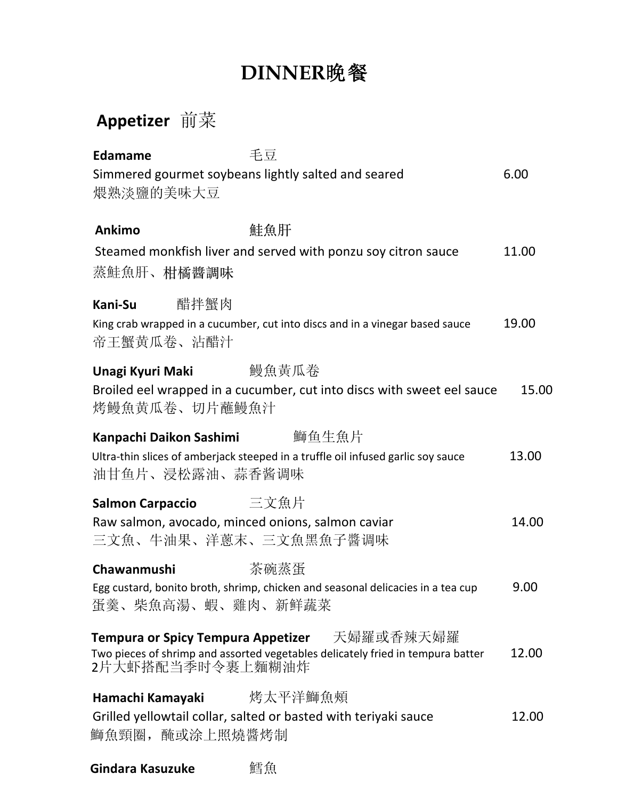# **DINNER**晚餐

## **Appetizer** 前菜

| 毛豆<br><b>Edamame</b><br>Simmered gourmet soybeans lightly salted and seared                                   |                                                                                              | 6.00  |
|---------------------------------------------------------------------------------------------------------------|----------------------------------------------------------------------------------------------|-------|
| 煨熟淡鹽的美味大豆                                                                                                     |                                                                                              |       |
| 鮭魚肝<br><b>Ankimo</b><br>蒸鮭魚肝、柑橘醬調味                                                                            | Steamed monkfish liver and served with ponzu soy citron sauce                                | 11.00 |
| 醋拌蟹肉<br>Kani-Su<br>帝王蟹黄瓜卷、沾醋汁                                                                                 | King crab wrapped in a cucumber, cut into discs and in a vinegar based sauce                 | 19.00 |
| Unagi Kyuri Maki<br>烤鰻魚黄瓜卷、切片蘸鰻魚汁                                                                             | 鰻魚黃瓜卷<br>Broiled eel wrapped in a cucumber, cut into discs with sweet eel sauce              | 15.00 |
| Kanpachi Daikon Sashimi<br>油甘鱼片、浸松露油、蒜香酱调味                                                                    | 鰤鱼生魚片<br>Ultra-thin slices of amberjack steeped in a truffle oil infused garlic soy sauce    | 13.00 |
| 三文魚片<br><b>Salmon Carpaccio</b><br>Raw salmon, avocado, minced onions, salmon caviar<br>三文魚、牛油果、洋蔥末、三文魚黑魚子醬调味 |                                                                                              | 14.00 |
| Chawanmushi<br>蛋羹、柴魚高湯、蝦、雞肉、新鲜蔬菜                                                                              | 茶碗蒸蛋<br>Egg custard, bonito broth, shrimp, chicken and seasonal delicacies in a tea cup      | 9.00  |
| <b>Tempura or Spicy Tempura Appetizer</b><br>2片大虾搭配当季时令裹上麵糊油炸                                                 | 天婦羅或香辣天婦羅<br>Two pieces of shrimp and assorted vegetables delicately fried in tempura batter | 12.00 |
| Hamachi Kamayaki<br>Grilled yellowtail collar, salted or basted with teriyaki sauce<br>鰤魚頸圈, 醃或涂上照燒醬烤制        | 烤太平洋鰤魚頰                                                                                      | 12.00 |

**Gindara Kasuzuke** 鱈魚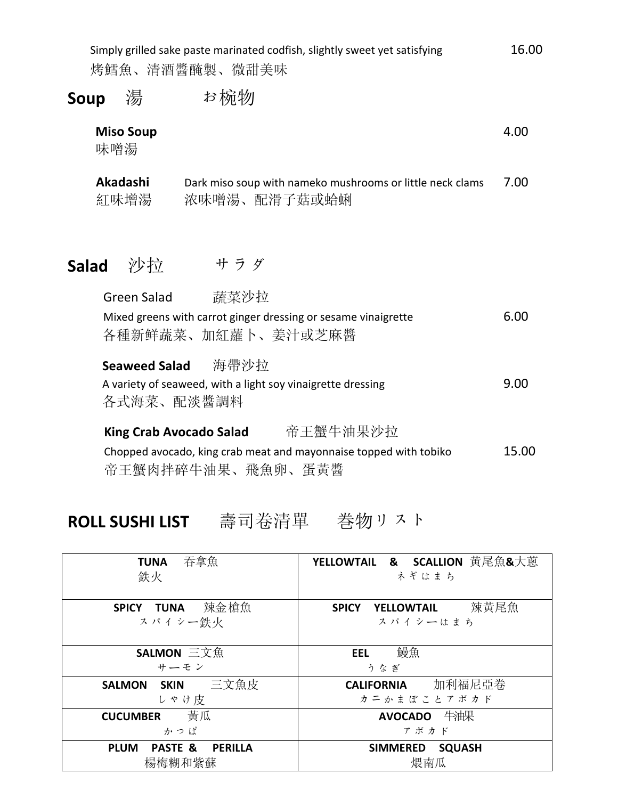Simply grilled sake paste marinated codfish, slightly sweet yet satisfying 16.00 烤鱈魚、清酒醬醃製、微甜美味

#### Soup 湯 お椀物

| <b>Miso Soup</b><br>味噌湯            |                                                                                                                                      | 4.00  |
|------------------------------------|--------------------------------------------------------------------------------------------------------------------------------------|-------|
| Akadashi<br>紅味增湯                   | Dark miso soup with nameko mushrooms or little neck clams<br>浓味噌湯、配滑子菇或蛤蜊                                                            | 7.00  |
| 沙拉<br>Salad                        | サラダ                                                                                                                                  |       |
| <b>Green Salad</b>                 | 蔬菜沙拉<br>Mixed greens with carrot ginger dressing or sesame vinaigrette<br>各種新鲜蔬菜、加紅蘿卜、姜汁或芝麻醬                                         | 6.00  |
| <b>Seaweed Salad</b><br>各式海菜、配淡醬調料 | 海帶沙拉<br>A variety of seaweed, with a light soy vinaigrette dressing                                                                  | 9.00  |
|                                    | 帝王蟹牛油果沙拉<br><b>King Crab Avocado Salad</b><br>Chopped avocado, king crab meat and mayonnaise topped with tobiko<br>帝王蟹肉拌碎牛油果、飛魚卵、蛋黃醬 | 15.00 |
|                                    |                                                                                                                                      |       |

### **ROLL SUSHI LIST** 壽司卷清單 巻物リスト

| 吞拿魚<br><b>TUNA</b><br>鉄火                               | <b>YELLOWTAIL &amp; SCALLION</b> 黄尾魚&大蔥<br>ネギはまち |
|--------------------------------------------------------|--------------------------------------------------|
| 辣金槍魚<br>SPICY TUNA<br>スパイシー鉄火                          | 辣黃尾魚<br>YELLOWTAIL<br><b>SPICY</b><br>スパイシーはまち   |
| SALMON 三文魚<br>サーモン                                     | 鰻魚<br>EEL<br>うなぎ                                 |
| SALMON SKIN 三文魚皮<br>しゃけ皮                               | <b>CALIFORNIA</b> 加利福尼亞卷<br>カニかまぼことアボカド          |
| 黃瓜<br><b>CUCUMBER</b><br>かっぱ                           | AVOCADO 牛油果<br>アボカド                              |
| <b>PLUM</b><br><b>PASTE &amp;</b><br>PERILLA<br>楊梅糊和紫蘇 | <b>SIMMERED</b><br><b>SQUASH</b><br>煨南瓜          |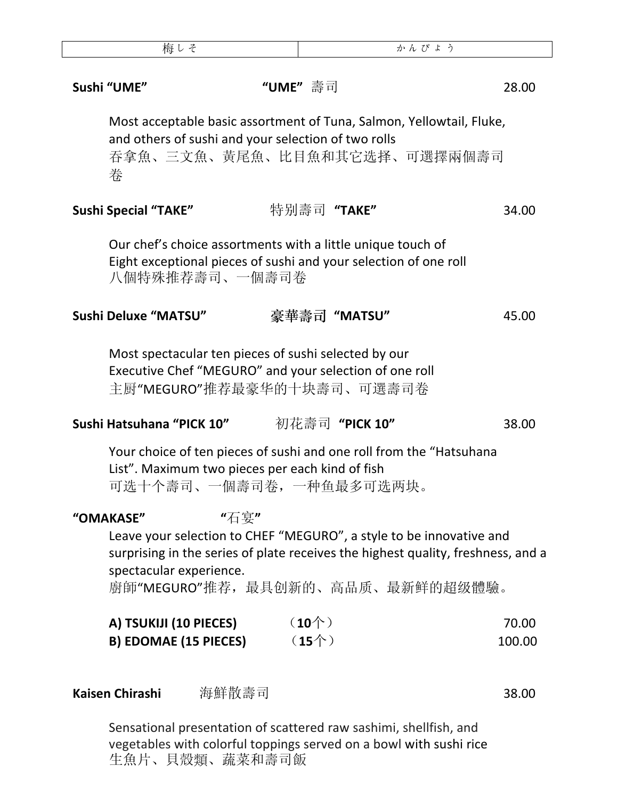| 梅しそ                                                                                                                                                                                |       | かんぴょう              |  |                 |
|------------------------------------------------------------------------------------------------------------------------------------------------------------------------------------|-------|--------------------|--|-----------------|
| Sushi "UME"                                                                                                                                                                        |       | "UME"壽司            |  | 28.00           |
| Most acceptable basic assortment of Tuna, Salmon, Yellowtail, Fluke,<br>and others of sushi and your selection of two rolls<br>吞拿魚、三文魚、黃尾魚、比目魚和其它选择、可選擇兩個壽司<br>桊                   |       |                    |  |                 |
| <b>Sushi Special "TAKE"</b>                                                                                                                                                        |       | 特别壽司 "TAKE"        |  | 34.00           |
| Our chef's choice assortments with a little unique touch of<br>Eight exceptional pieces of sushi and your selection of one roll<br>八個特殊推荐壽司、一個壽司卷                                  |       |                    |  |                 |
| Sushi Deluxe "MATSU"                                                                                                                                                               |       | 豪華壽司 "MATSU"       |  | 45.00           |
| Most spectacular ten pieces of sushi selected by our<br>Executive Chef "MEGURO" and your selection of one roll<br>主厨"MEGURO"推荐最豪华的十块壽司、可選壽司卷                                       |       |                    |  |                 |
| Sushi Hatsuhana "PICK 10"                                                                                                                                                          |       | 初花壽司 "PICK 10"     |  | 38.00           |
| Your choice of ten pieces of sushi and one roll from the "Hatsuhana"<br>List". Maximum two pieces per each kind of fish<br>可选十个壽司、一個壽司卷,一种鱼最多可选两块。                                 |       |                    |  |                 |
| "OMAKASE"                                                                                                                                                                          | "石宴"  |                    |  |                 |
| Leave your selection to CHEF "MEGURO", a style to be innovative and<br>surprising in the series of plate receives the highest quality, freshness, and a<br>spectacular experience. |       |                    |  |                 |
| 廚師"MEGURO"推荐, 最具创新的、高品质、最新鲜的超级體驗。                                                                                                                                                  |       |                    |  |                 |
| A) TSUKIJI (10 PIECES)<br><b>B) EDOMAE (15 PIECES)</b>                                                                                                                             |       | $(10^)$<br>$(15+)$ |  | 70.00<br>100.00 |
| Kaisen Chirashi                                                                                                                                                                    | 海鮮散壽司 |                    |  | 38.00           |

Sensational presentation of scattered raw sashimi, shellfish, and vegetables with colorful toppings served on a bowl with sushi rice 生魚片、貝殼類、蔬菜和壽司飯